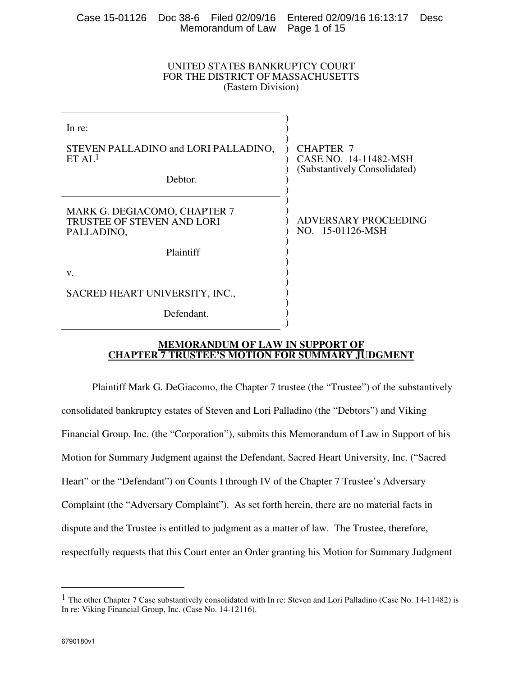|                                |  | Case 15-01126 Doc 38-6 Filed 02/09/16 Entered 02/09/16 16:13:17 Desc |  |
|--------------------------------|--|----------------------------------------------------------------------|--|
| Memorandum of Law Page 1 of 15 |  |                                                                      |  |

### UNITED STATES BANKRUPTCY COURT FOR THE DISTRICT OF MASSACHUSETTS (Eastern Division)

| In re:                                                                          |                                                                    |  |
|---------------------------------------------------------------------------------|--------------------------------------------------------------------|--|
| STEVEN PALLADINO and LORI PALLADINO,<br>ETAL <sup>1</sup>                       | CHAPTER 7<br>CASE NO. 14-11482-MSH<br>(Substantively Consolidated) |  |
| Debtor.                                                                         |                                                                    |  |
| MARK G. DEGIACOMO, CHAPTER 7<br><b>TRUSTEE OF STEVEN AND LORI</b><br>PALLADINO, | ADVERSARY PROCEEDING<br>NO. 15-01126-MSH                           |  |
| Plaintiff                                                                       |                                                                    |  |
| V.                                                                              |                                                                    |  |
| SACRED HEART UNIVERSITY, INC.,                                                  |                                                                    |  |
| Defendant.                                                                      |                                                                    |  |
|                                                                                 |                                                                    |  |

### **MEMORANDUM OF LAW IN SUPPORT OF CHAPTER 7 TRUSTEE'S MOTION FOR SUMMARY JUDGMENT**

Plaintiff Mark G. DeGiacomo, the Chapter 7 trustee (the "Trustee") of the substantively consolidated bankruptcy estates of Steven and Lori Palladino (the "Debtors") and Viking Financial Group, Inc. (the "Corporation"), submits this Memorandum of Law in Support of his Motion for Summary Judgment against the Defendant, Sacred Heart University, Inc. ("Sacred Heart" or the "Defendant") on Counts I through IV of the Chapter 7 Trustee's Adversary Complaint (the "Adversary Complaint"). As set forth herein, there are no material facts in dispute and the Trustee is entitled to judgment as a matter of law. The Trustee, therefore, respectfully requests that this Court enter an Order granting his Motion for Summary Judgment

<sup>1</sup> The other Chapter 7 Case substantively consolidated with In re: Steven and Lori Palladino (Case No. 14-11482) is In re: Viking Financial Group, Inc. (Case No. 14-12116).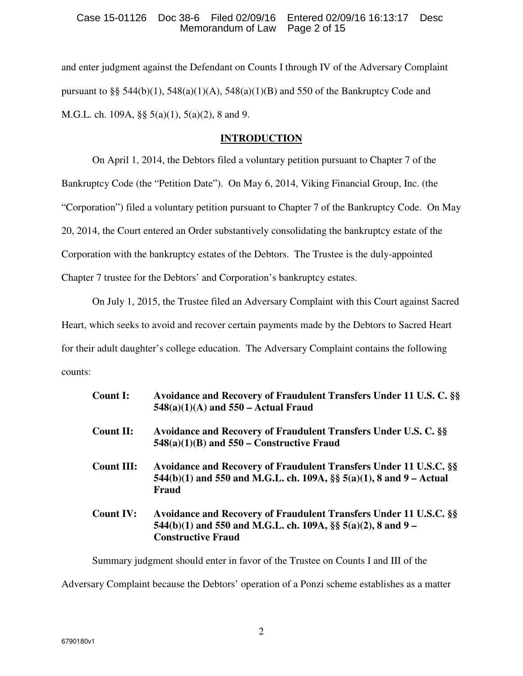### Case 15-01126 Doc 38-6 Filed 02/09/16 Entered 02/09/16 16:13:17 Desc Memorandum of Law Page 2 of 15

and enter judgment against the Defendant on Counts I through IV of the Adversary Complaint pursuant to §§ 544(b)(1), 548(a)(1)(A), 548(a)(1)(B) and 550 of the Bankruptcy Code and M.G.L. ch. 109A, §§ 5(a)(1), 5(a)(2), 8 and 9.

# **INTRODUCTION**

On April 1, 2014, the Debtors filed a voluntary petition pursuant to Chapter 7 of the Bankruptcy Code (the "Petition Date"). On May 6, 2014, Viking Financial Group, Inc. (the "Corporation") filed a voluntary petition pursuant to Chapter 7 of the Bankruptcy Code. On May 20, 2014, the Court entered an Order substantively consolidating the bankruptcy estate of the Corporation with the bankruptcy estates of the Debtors. The Trustee is the duly-appointed Chapter 7 trustee for the Debtors' and Corporation's bankruptcy estates.

On July 1, 2015, the Trustee filed an Adversary Complaint with this Court against Sacred

Heart, which seeks to avoid and recover certain payments made by the Debtors to Sacred Heart

for their adult daughter's college education. The Adversary Complaint contains the following counts:

| Count I:          | Avoidance and Recovery of Fraudulent Transfers Under 11 U.S. C. §§<br>$548(a)(1)(A)$ and $550 - Actual$ Fraud                                                  |
|-------------------|----------------------------------------------------------------------------------------------------------------------------------------------------------------|
| <b>Count II:</b>  | Avoidance and Recovery of Fraudulent Transfers Under U.S. C. §§<br>$548(a)(1)(B)$ and $550$ – Constructive Fraud                                               |
| <b>Count III:</b> | Avoidance and Recovery of Fraudulent Transfers Under 11 U.S.C. §§<br>544(b)(1) and 550 and M.G.L. ch. 109A, $\S$ 5(a)(1), 8 and 9 – Actual<br>Fraud            |
| <b>Count IV:</b>  | Avoidance and Recovery of Fraudulent Transfers Under 11 U.S.C. §§<br>544(b)(1) and 550 and M.G.L. ch. 109A, §§ 5(a)(2), 8 and 9 –<br><b>Constructive Fraud</b> |

Summary judgment should enter in favor of the Trustee on Counts I and III of the

Adversary Complaint because the Debtors' operation of a Ponzi scheme establishes as a matter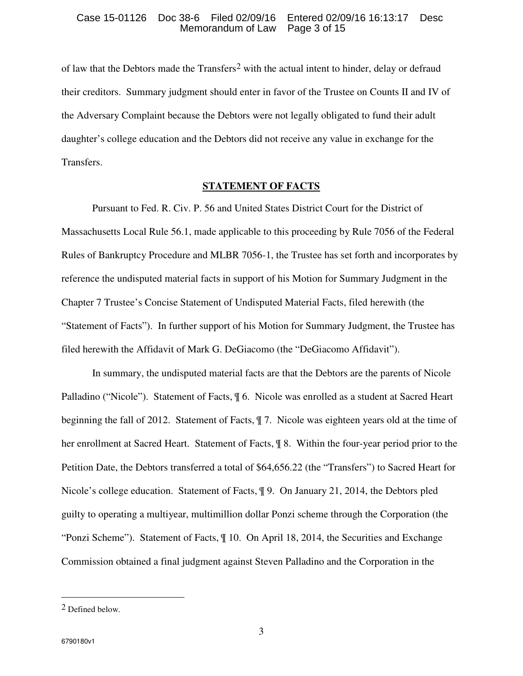### Case 15-01126 Doc 38-6 Filed 02/09/16 Entered 02/09/16 16:13:17 Desc Memorandum of Law Page 3 of 15

of law that the Debtors made the Transfers2 with the actual intent to hinder, delay or defraud their creditors. Summary judgment should enter in favor of the Trustee on Counts II and IV of the Adversary Complaint because the Debtors were not legally obligated to fund their adult daughter's college education and the Debtors did not receive any value in exchange for the Transfers.

### **STATEMENT OF FACTS**

Pursuant to Fed. R. Civ. P. 56 and United States District Court for the District of Massachusetts Local Rule 56.1, made applicable to this proceeding by Rule 7056 of the Federal Rules of Bankruptcy Procedure and MLBR 7056-1, the Trustee has set forth and incorporates by reference the undisputed material facts in support of his Motion for Summary Judgment in the Chapter 7 Trustee's Concise Statement of Undisputed Material Facts, filed herewith (the "Statement of Facts"). In further support of his Motion for Summary Judgment, the Trustee has filed herewith the Affidavit of Mark G. DeGiacomo (the "DeGiacomo Affidavit").

In summary, the undisputed material facts are that the Debtors are the parents of Nicole Palladino ("Nicole"). Statement of Facts, ¶ 6. Nicole was enrolled as a student at Sacred Heart beginning the fall of 2012. Statement of Facts, ¶ 7. Nicole was eighteen years old at the time of her enrollment at Sacred Heart. Statement of Facts, ¶ 8. Within the four-year period prior to the Petition Date, the Debtors transferred a total of \$64,656.22 (the "Transfers") to Sacred Heart for Nicole's college education. Statement of Facts, ¶ 9. On January 21, 2014, the Debtors pled guilty to operating a multiyear, multimillion dollar Ponzi scheme through the Corporation (the "Ponzi Scheme"). Statement of Facts, ¶ 10. On April 18, 2014, the Securities and Exchange Commission obtained a final judgment against Steven Palladino and the Corporation in the

<sup>2</sup> Defined below.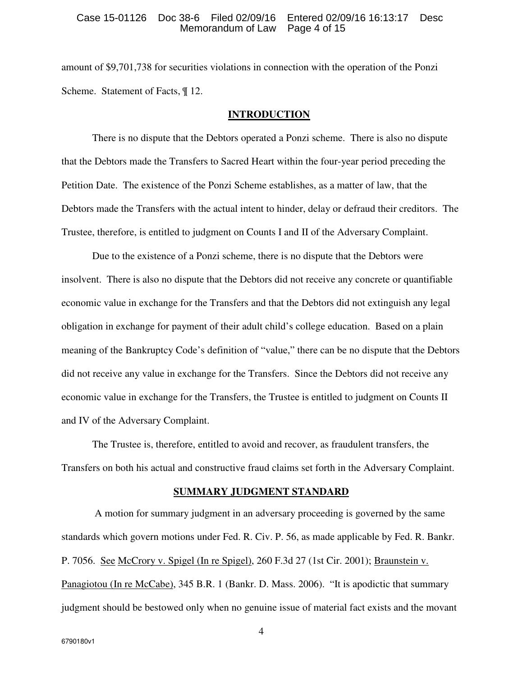#### Case 15-01126 Doc 38-6 Filed 02/09/16 Entered 02/09/16 16:13:17 Desc Memorandum of Law Page 4 of 15

amount of \$9,701,738 for securities violations in connection with the operation of the Ponzi Scheme. Statement of Facts,  $\P$  12.

#### **INTRODUCTION**

There is no dispute that the Debtors operated a Ponzi scheme. There is also no dispute that the Debtors made the Transfers to Sacred Heart within the four-year period preceding the Petition Date. The existence of the Ponzi Scheme establishes, as a matter of law, that the Debtors made the Transfers with the actual intent to hinder, delay or defraud their creditors. The Trustee, therefore, is entitled to judgment on Counts I and II of the Adversary Complaint.

Due to the existence of a Ponzi scheme, there is no dispute that the Debtors were insolvent. There is also no dispute that the Debtors did not receive any concrete or quantifiable economic value in exchange for the Transfers and that the Debtors did not extinguish any legal obligation in exchange for payment of their adult child's college education. Based on a plain meaning of the Bankruptcy Code's definition of "value," there can be no dispute that the Debtors did not receive any value in exchange for the Transfers. Since the Debtors did not receive any economic value in exchange for the Transfers, the Trustee is entitled to judgment on Counts II and IV of the Adversary Complaint.

The Trustee is, therefore, entitled to avoid and recover, as fraudulent transfers, the Transfers on both his actual and constructive fraud claims set forth in the Adversary Complaint.

#### **SUMMARY JUDGMENT STANDARD**

 A motion for summary judgment in an adversary proceeding is governed by the same standards which govern motions under Fed. R. Civ. P. 56, as made applicable by Fed. R. Bankr. P. 7056. See McCrory v. Spigel (In re Spigel), 260 F.3d 27 (1st Cir. 2001); Braunstein v. Panagiotou (In re McCabe), 345 B.R. 1 (Bankr. D. Mass. 2006). "It is apodictic that summary judgment should be bestowed only when no genuine issue of material fact exists and the movant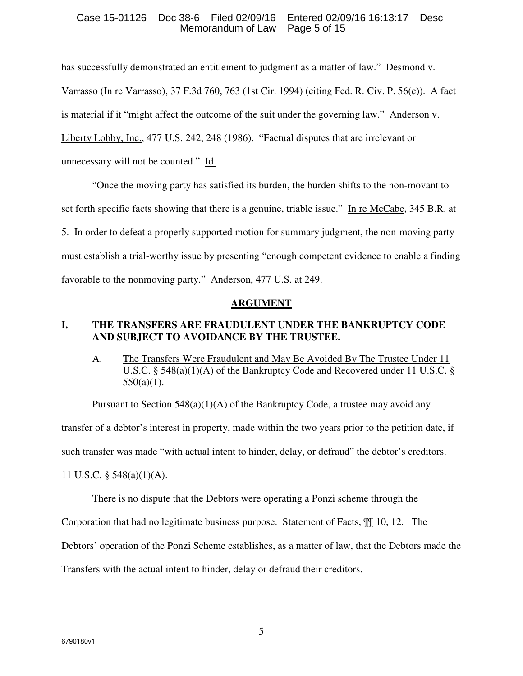### Case 15-01126 Doc 38-6 Filed 02/09/16 Entered 02/09/16 16:13:17 Desc Memorandum of Law Page 5 of 15

has successfully demonstrated an entitlement to judgment as a matter of law." Desmond v. Varrasso (In re Varrasso), 37 F.3d 760, 763 (1st Cir. 1994) (citing Fed. R. Civ. P. 56(c)). A fact is material if it "might affect the outcome of the suit under the governing law." Anderson v. Liberty Lobby, Inc., 477 U.S. 242, 248 (1986). "Factual disputes that are irrelevant or unnecessary will not be counted." Id.

"Once the moving party has satisfied its burden, the burden shifts to the non-movant to set forth specific facts showing that there is a genuine, triable issue." In re McCabe, 345 B.R. at 5. In order to defeat a properly supported motion for summary judgment, the non-moving party must establish a trial-worthy issue by presenting "enough competent evidence to enable a finding favorable to the nonmoving party." Anderson, 477 U.S. at 249.

### **ARGUMENT**

# **I. THE TRANSFERS ARE FRAUDULENT UNDER THE BANKRUPTCY CODE AND SUBJECT TO AVOIDANCE BY THE TRUSTEE.**

# A. The Transfers Were Fraudulent and May Be Avoided By The Trustee Under 11 U.S.C. § 548(a)(1)(A) of the Bankruptcy Code and Recovered under 11 U.S.C. §  $550(a)(1)$ .

Pursuant to Section  $548(a)(1)(A)$  of the Bankruptcy Code, a trustee may avoid any transfer of a debtor's interest in property, made within the two years prior to the petition date, if such transfer was made "with actual intent to hinder, delay, or defraud" the debtor's creditors. 11 U.S.C. § 548(a)(1)(A).

There is no dispute that the Debtors were operating a Ponzi scheme through the

Corporation that had no legitimate business purpose. Statement of Facts, ¶¶ 10, 12. The

Debtors' operation of the Ponzi Scheme establishes, as a matter of law, that the Debtors made the

Transfers with the actual intent to hinder, delay or defraud their creditors.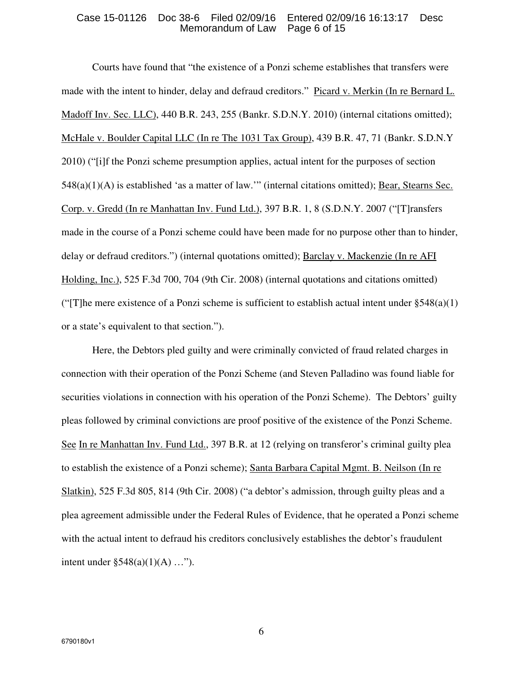#### Case 15-01126 Doc 38-6 Filed 02/09/16 Entered 02/09/16 16:13:17 Desc Memorandum of Law Page 6 of 15

Courts have found that "the existence of a Ponzi scheme establishes that transfers were made with the intent to hinder, delay and defraud creditors." Picard v. Merkin (In re Bernard L. Madoff Inv. Sec. LLC), 440 B.R. 243, 255 (Bankr. S.D.N.Y. 2010) (internal citations omitted); McHale v. Boulder Capital LLC (In re The 1031 Tax Group), 439 B.R. 47, 71 (Bankr. S.D.N.Y 2010) ("[i]f the Ponzi scheme presumption applies, actual intent for the purposes of section 548(a)(1)(A) is established 'as a matter of law.'" (internal citations omitted); Bear, Stearns Sec. Corp. v. Gredd (In re Manhattan Inv. Fund Ltd.), 397 B.R. 1, 8 (S.D.N.Y. 2007 ("[T]ransfers made in the course of a Ponzi scheme could have been made for no purpose other than to hinder, delay or defraud creditors.") (internal quotations omitted); Barclay v. Mackenzie (In re AFI Holding, Inc.), 525 F.3d 700, 704 (9th Cir. 2008) (internal quotations and citations omitted) ("The mere existence of a Ponzi scheme is sufficient to establish actual intent under  $\S 548(a)(1)$ ) or a state's equivalent to that section.").

Here, the Debtors pled guilty and were criminally convicted of fraud related charges in connection with their operation of the Ponzi Scheme (and Steven Palladino was found liable for securities violations in connection with his operation of the Ponzi Scheme). The Debtors' guilty pleas followed by criminal convictions are proof positive of the existence of the Ponzi Scheme. See In re Manhattan Inv. Fund Ltd., 397 B.R. at 12 (relying on transferor's criminal guilty plea to establish the existence of a Ponzi scheme); Santa Barbara Capital Mgmt. B. Neilson (In re Slatkin), 525 F.3d 805, 814 (9th Cir. 2008) ("a debtor's admission, through guilty pleas and a plea agreement admissible under the Federal Rules of Evidence, that he operated a Ponzi scheme with the actual intent to defraud his creditors conclusively establishes the debtor's fraudulent intent under  $\S 548(a)(1)(A) ...$ ").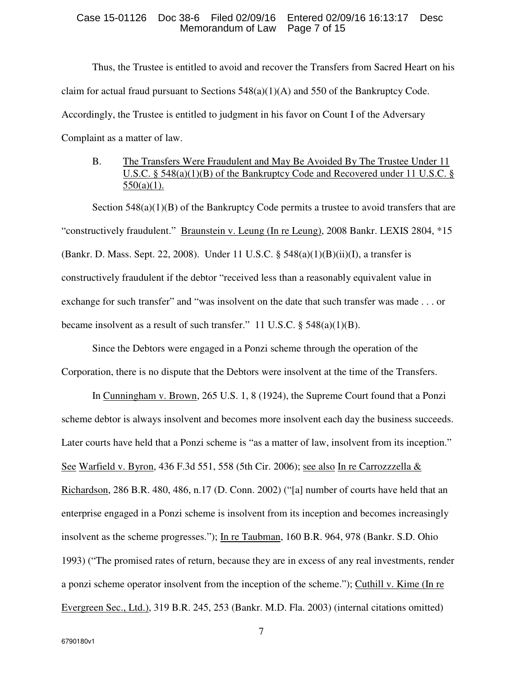#### Case 15-01126 Doc 38-6 Filed 02/09/16 Entered 02/09/16 16:13:17 Desc Memorandum of Law Page 7 of 15

Thus, the Trustee is entitled to avoid and recover the Transfers from Sacred Heart on his claim for actual fraud pursuant to Sections  $548(a)(1)(A)$  and  $550$  of the Bankruptcy Code. Accordingly, the Trustee is entitled to judgment in his favor on Count I of the Adversary Complaint as a matter of law.

## B. The Transfers Were Fraudulent and May Be Avoided By The Trustee Under 11 U.S.C. § 548(a)(1)(B) of the Bankruptcy Code and Recovered under 11 U.S.C. §  $550(a)(1)$ .

Section  $548(a)(1)(B)$  of the Bankruptcy Code permits a trustee to avoid transfers that are "constructively fraudulent." Braunstein v. Leung (In re Leung), 2008 Bankr. LEXIS 2804, \*15 (Bankr. D. Mass. Sept. 22, 2008). Under 11 U.S.C. § 548(a)(1)(B)(ii)(I), a transfer is constructively fraudulent if the debtor "received less than a reasonably equivalent value in exchange for such transfer" and "was insolvent on the date that such transfer was made . . . or became insolvent as a result of such transfer." 11 U.S.C. § 548(a)(1)(B).

Since the Debtors were engaged in a Ponzi scheme through the operation of the Corporation, there is no dispute that the Debtors were insolvent at the time of the Transfers.

In Cunningham v. Brown, 265 U.S. 1, 8 (1924), the Supreme Court found that a Ponzi scheme debtor is always insolvent and becomes more insolvent each day the business succeeds. Later courts have held that a Ponzi scheme is "as a matter of law, insolvent from its inception." See Warfield v. Byron, 436 F.3d 551, 558 (5th Cir. 2006); see also In re Carrozzzella & Richardson, 286 B.R. 480, 486, n.17 (D. Conn. 2002) ("[a] number of courts have held that an enterprise engaged in a Ponzi scheme is insolvent from its inception and becomes increasingly insolvent as the scheme progresses."); In re Taubman, 160 B.R. 964, 978 (Bankr. S.D. Ohio 1993) ("The promised rates of return, because they are in excess of any real investments, render a ponzi scheme operator insolvent from the inception of the scheme."); Cuthill v. Kime (In re Evergreen Sec., Ltd.), 319 B.R. 245, 253 (Bankr. M.D. Fla. 2003) (internal citations omitted)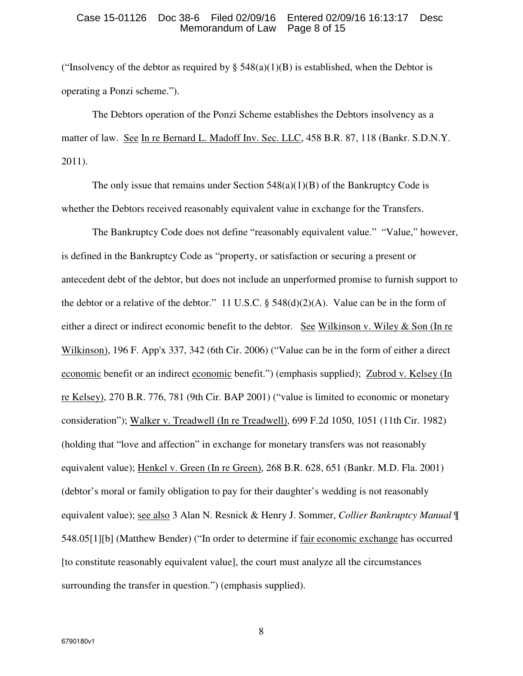#### Case 15-01126 Doc 38-6 Filed 02/09/16 Entered 02/09/16 16:13:17 Desc Memorandum of Law Page 8 of 15

("Insolvency of the debtor as required by §  $548(a)(1)(B)$  is established, when the Debtor is operating a Ponzi scheme.").

The Debtors operation of the Ponzi Scheme establishes the Debtors insolvency as a matter of law. See In re Bernard L. Madoff Inv. Sec. LLC, 458 B.R. 87, 118 (Bankr. S.D.N.Y. 2011).

The only issue that remains under Section  $548(a)(1)(B)$  of the Bankruptcy Code is whether the Debtors received reasonably equivalent value in exchange for the Transfers.

The Bankruptcy Code does not define "reasonably equivalent value." "Value," however, is defined in the Bankruptcy Code as "property, or satisfaction or securing a present or antecedent debt of the debtor, but does not include an unperformed promise to furnish support to the debtor or a relative of the debtor." 11 U.S.C.  $\S$  548(d)(2)(A). Value can be in the form of either a direct or indirect economic benefit to the debtor. See Wilkinson v. Wiley & Son (In re Wilkinson), 196 F. App'x 337, 342 (6th Cir. 2006) ("Value can be in the form of either a direct economic benefit or an indirect economic benefit.") (emphasis supplied); Zubrod v. Kelsey (In re Kelsey), 270 B.R. 776, 781 (9th Cir. BAP 2001) ("value is limited to economic or monetary consideration"); Walker v. Treadwell (In re Treadwell), 699 F.2d 1050, 1051 (11th Cir. 1982) (holding that "love and affection" in exchange for monetary transfers was not reasonably equivalent value); Henkel v. Green (In re Green), 268 B.R. 628, 651 (Bankr. M.D. Fla. 2001) (debtor's moral or family obligation to pay for their daughter's wedding is not reasonably equivalent value); see also 3 Alan N. Resnick & Henry J. Sommer, *Collier Bankruptcy Manual* ¶ 548.05[1][b] (Matthew Bender) ("In order to determine if fair economic exchange has occurred [to constitute reasonably equivalent value], the court must analyze all the circumstances surrounding the transfer in question.") (emphasis supplied).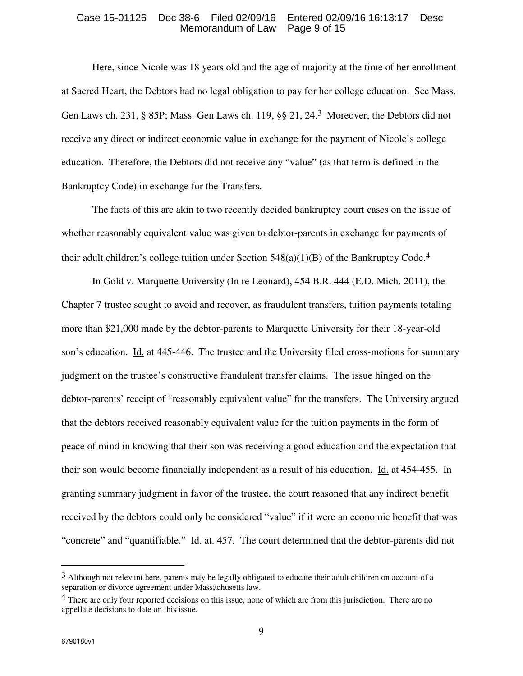#### Case 15-01126 Doc 38-6 Filed 02/09/16 Entered 02/09/16 16:13:17 Desc Memorandum of Law Page 9 of 15

Here, since Nicole was 18 years old and the age of majority at the time of her enrollment at Sacred Heart, the Debtors had no legal obligation to pay for her college education. See Mass. Gen Laws ch. 231, § 85P; Mass. Gen Laws ch. 119, §§ 21, 24.3 Moreover, the Debtors did not receive any direct or indirect economic value in exchange for the payment of Nicole's college education. Therefore, the Debtors did not receive any "value" (as that term is defined in the Bankruptcy Code) in exchange for the Transfers.

The facts of this are akin to two recently decided bankruptcy court cases on the issue of whether reasonably equivalent value was given to debtor-parents in exchange for payments of their adult children's college tuition under Section  $548(a)(1)(B)$  of the Bankruptcy Code.<sup>4</sup>

In Gold v. Marquette University (In re Leonard), 454 B.R. 444 (E.D. Mich. 2011), the Chapter 7 trustee sought to avoid and recover, as fraudulent transfers, tuition payments totaling more than \$21,000 made by the debtor-parents to Marquette University for their 18-year-old son's education. Id. at 445-446. The trustee and the University filed cross-motions for summary judgment on the trustee's constructive fraudulent transfer claims. The issue hinged on the debtor-parents' receipt of "reasonably equivalent value" for the transfers. The University argued that the debtors received reasonably equivalent value for the tuition payments in the form of peace of mind in knowing that their son was receiving a good education and the expectation that their son would become financially independent as a result of his education. Id. at 454-455. In granting summary judgment in favor of the trustee, the court reasoned that any indirect benefit received by the debtors could only be considered "value" if it were an economic benefit that was "concrete" and "quantifiable." Id. at. 457. The court determined that the debtor-parents did not

<sup>&</sup>lt;sup>3</sup> Although not relevant here, parents may be legally obligated to educate their adult children on account of a separation or divorce agreement under Massachusetts law.

<sup>&</sup>lt;sup>4</sup> There are only four reported decisions on this issue, none of which are from this jurisdiction. There are no appellate decisions to date on this issue.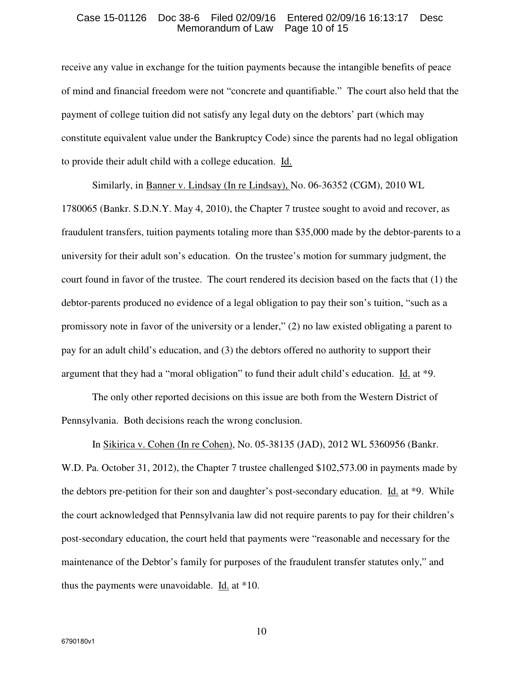#### Case 15-01126 Doc 38-6 Filed 02/09/16 Entered 02/09/16 16:13:17 Desc Memorandum of Law Page 10 of 15

receive any value in exchange for the tuition payments because the intangible benefits of peace of mind and financial freedom were not "concrete and quantifiable." The court also held that the payment of college tuition did not satisfy any legal duty on the debtors' part (which may constitute equivalent value under the Bankruptcy Code) since the parents had no legal obligation to provide their adult child with a college education. Id.

Similarly, in Banner v. Lindsay (In re Lindsay), No. 06-36352 (CGM), 2010 WL

1780065 (Bankr. S.D.N.Y. May 4, 2010), the Chapter 7 trustee sought to avoid and recover, as fraudulent transfers, tuition payments totaling more than \$35,000 made by the debtor-parents to a university for their adult son's education. On the trustee's motion for summary judgment, the court found in favor of the trustee. The court rendered its decision based on the facts that (1) the debtor-parents produced no evidence of a legal obligation to pay their son's tuition, "such as a promissory note in favor of the university or a lender," (2) no law existed obligating a parent to pay for an adult child's education, and (3) the debtors offered no authority to support their argument that they had a "moral obligation" to fund their adult child's education. Id. at \*9.

The only other reported decisions on this issue are both from the Western District of Pennsylvania. Both decisions reach the wrong conclusion.

In Sikirica v. Cohen (In re Cohen), No. 05-38135 (JAD), 2012 WL 5360956 (Bankr. W.D. Pa. October 31, 2012), the Chapter 7 trustee challenged \$102,573.00 in payments made by the debtors pre-petition for their son and daughter's post-secondary education. Id. at \*9. While the court acknowledged that Pennsylvania law did not require parents to pay for their children's post-secondary education, the court held that payments were "reasonable and necessary for the maintenance of the Debtor's family for purposes of the fraudulent transfer statutes only," and thus the payments were unavoidable.  $\underline{Id}$  at \*10.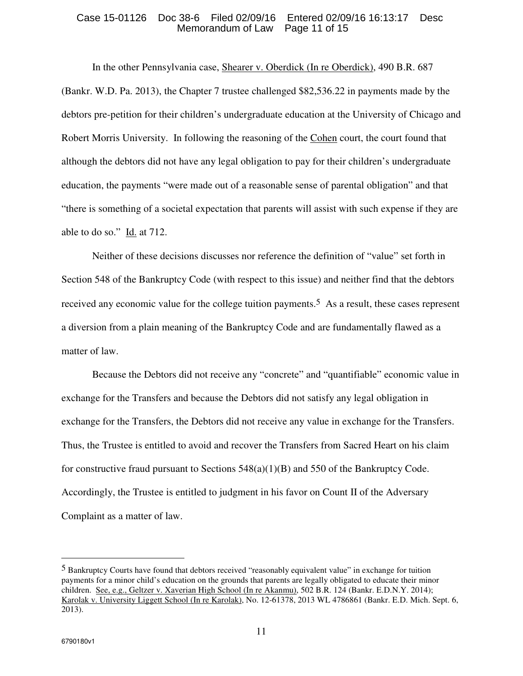#### Case 15-01126 Doc 38-6 Filed 02/09/16 Entered 02/09/16 16:13:17 Desc<br>Memorandum of Law Page 11 of 15 Memorandum of Law

In the other Pennsylvania case, Shearer v. Oberdick (In re Oberdick), 490 B.R. 687 (Bankr. W.D. Pa. 2013), the Chapter 7 trustee challenged \$82,536.22 in payments made by the debtors pre-petition for their children's undergraduate education at the University of Chicago and Robert Morris University. In following the reasoning of the Cohen court, the court found that although the debtors did not have any legal obligation to pay for their children's undergraduate education, the payments "were made out of a reasonable sense of parental obligation" and that "there is something of a societal expectation that parents will assist with such expense if they are able to do so." Id. at 712.

Neither of these decisions discusses nor reference the definition of "value" set forth in Section 548 of the Bankruptcy Code (with respect to this issue) and neither find that the debtors received any economic value for the college tuition payments.<sup>5</sup> As a result, these cases represent a diversion from a plain meaning of the Bankruptcy Code and are fundamentally flawed as a matter of law.

Because the Debtors did not receive any "concrete" and "quantifiable" economic value in exchange for the Transfers and because the Debtors did not satisfy any legal obligation in exchange for the Transfers, the Debtors did not receive any value in exchange for the Transfers. Thus, the Trustee is entitled to avoid and recover the Transfers from Sacred Heart on his claim for constructive fraud pursuant to Sections  $548(a)(1)(B)$  and  $550$  of the Bankruptcy Code. Accordingly, the Trustee is entitled to judgment in his favor on Count II of the Adversary Complaint as a matter of law.

 $\overline{a}$ 

<sup>5</sup> Bankruptcy Courts have found that debtors received "reasonably equivalent value" in exchange for tuition payments for a minor child's education on the grounds that parents are legally obligated to educate their minor children. See, e.g., Geltzer v. Xaverian High School (In re Akanmu), 502 B.R. 124 (Bankr. E.D.N.Y. 2014); Karolak v. University Liggett School (In re Karolak), No. 12-61378, 2013 WL 4786861 (Bankr. E.D. Mich. Sept. 6, 2013).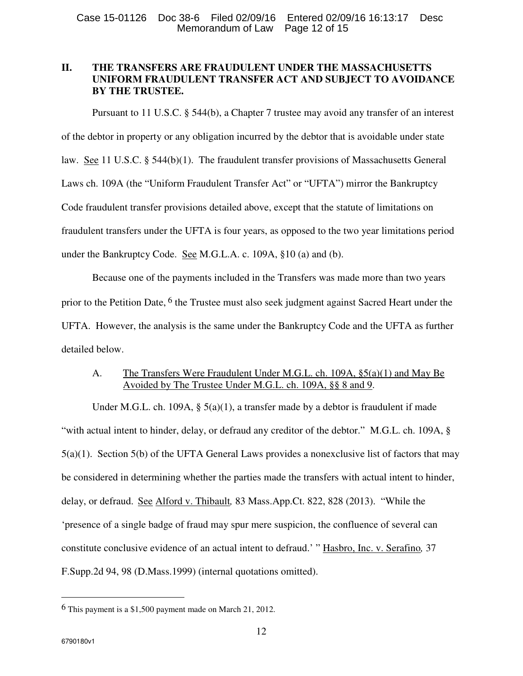# **II. THE TRANSFERS ARE FRAUDULENT UNDER THE MASSACHUSETTS UNIFORM FRAUDULENT TRANSFER ACT AND SUBJECT TO AVOIDANCE BY THE TRUSTEE.**

Pursuant to 11 U.S.C. § 544(b), a Chapter 7 trustee may avoid any transfer of an interest of the debtor in property or any obligation incurred by the debtor that is avoidable under state law. See 11 U.S.C. § 544(b)(1). The fraudulent transfer provisions of Massachusetts General Laws ch. 109A (the "Uniform Fraudulent Transfer Act" or "UFTA") mirror the Bankruptcy Code fraudulent transfer provisions detailed above, except that the statute of limitations on fraudulent transfers under the UFTA is four years, as opposed to the two year limitations period under the Bankruptcy Code. See M.G.L.A. c. 109A, §10 (a) and (b).

Because one of the payments included in the Transfers was made more than two years prior to the Petition Date, <sup>6</sup> the Trustee must also seek judgment against Sacred Heart under the UFTA. However, the analysis is the same under the Bankruptcy Code and the UFTA as further detailed below.

# A. The Transfers Were Fraudulent Under M.G.L. ch. 109A, §5(a)(1) and May Be Avoided by The Trustee Under M.G.L. ch. 109A, §§ 8 and 9.

Under M.G.L. ch. 109A,  $\S$  5(a)(1), a transfer made by a debtor is fraudulent if made "with actual intent to hinder, delay, or defraud any creditor of the debtor." M.G.L. ch. 109A, § 5(a)(1). Section 5(b) of the UFTA General Laws provides a nonexclusive list of factors that may be considered in determining whether the parties made the transfers with actual intent to hinder, delay, or defraud. See Alford v. Thibault*,* 83 Mass.App.Ct. 822, 828 (2013). "While the 'presence of a single badge of fraud may spur mere suspicion, the confluence of several can constitute conclusive evidence of an actual intent to defraud.' " Hasbro, Inc. v. Serafino*,* 37 F.Supp.2d 94, 98 (D.Mass.1999) (internal quotations omitted).

<sup>6</sup> This payment is a \$1,500 payment made on March 21, 2012.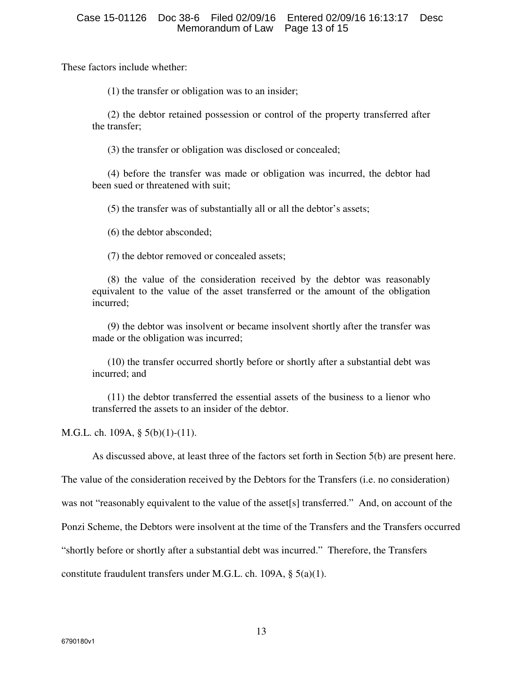These factors include whether:

(1) the transfer or obligation was to an insider;

(2) the debtor retained possession or control of the property transferred after the transfer;

(3) the transfer or obligation was disclosed or concealed;

(4) before the transfer was made or obligation was incurred, the debtor had been sued or threatened with suit:

(5) the transfer was of substantially all or all the debtor's assets;

(6) the debtor absconded;

(7) the debtor removed or concealed assets;

(8) the value of the consideration received by the debtor was reasonably equivalent to the value of the asset transferred or the amount of the obligation incurred;

(9) the debtor was insolvent or became insolvent shortly after the transfer was made or the obligation was incurred;

(10) the transfer occurred shortly before or shortly after a substantial debt was incurred; and

(11) the debtor transferred the essential assets of the business to a lienor who transferred the assets to an insider of the debtor.

M.G.L. ch. 109A, § 5(b)(1)-(11).

As discussed above, at least three of the factors set forth in Section 5(b) are present here.

The value of the consideration received by the Debtors for the Transfers (i.e. no consideration)

was not "reasonably equivalent to the value of the asset[s] transferred." And, on account of the

Ponzi Scheme, the Debtors were insolvent at the time of the Transfers and the Transfers occurred

"shortly before or shortly after a substantial debt was incurred." Therefore, the Transfers

constitute fraudulent transfers under M.G.L. ch. 109A, § 5(a)(1).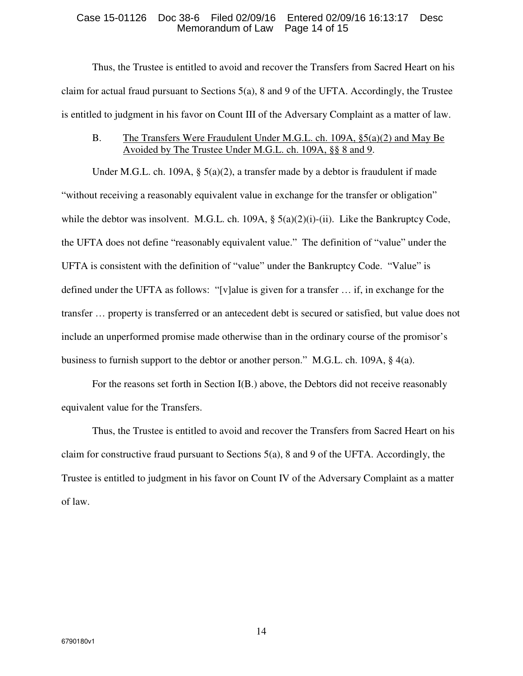### Case 15-01126 Doc 38-6 Filed 02/09/16 Entered 02/09/16 16:13:17 Desc Memorandum of Law

Thus, the Trustee is entitled to avoid and recover the Transfers from Sacred Heart on his claim for actual fraud pursuant to Sections  $5(a)$ , 8 and 9 of the UFTA. Accordingly, the Trustee is entitled to judgment in his favor on Count III of the Adversary Complaint as a matter of law.

## B. The Transfers Were Fraudulent Under M.G.L. ch. 109A, §5(a)(2) and May Be Avoided by The Trustee Under M.G.L. ch. 109A, §§ 8 and 9.

Under M.G.L. ch. 109A,  $\S$  5(a)(2), a transfer made by a debtor is fraudulent if made "without receiving a reasonably equivalent value in exchange for the transfer or obligation" while the debtor was insolvent. M.G.L. ch. 109A,  $\S$  5(a)(2)(i)-(ii). Like the Bankruptcy Code, the UFTA does not define "reasonably equivalent value." The definition of "value" under the UFTA is consistent with the definition of "value" under the Bankruptcy Code. "Value" is defined under the UFTA as follows: "[v]alue is given for a transfer … if, in exchange for the transfer … property is transferred or an antecedent debt is secured or satisfied, but value does not include an unperformed promise made otherwise than in the ordinary course of the promisor's business to furnish support to the debtor or another person." M.G.L. ch. 109A, § 4(a).

For the reasons set forth in Section I(B.) above, the Debtors did not receive reasonably equivalent value for the Transfers.

Thus, the Trustee is entitled to avoid and recover the Transfers from Sacred Heart on his claim for constructive fraud pursuant to Sections 5(a), 8 and 9 of the UFTA. Accordingly, the Trustee is entitled to judgment in his favor on Count IV of the Adversary Complaint as a matter of law.